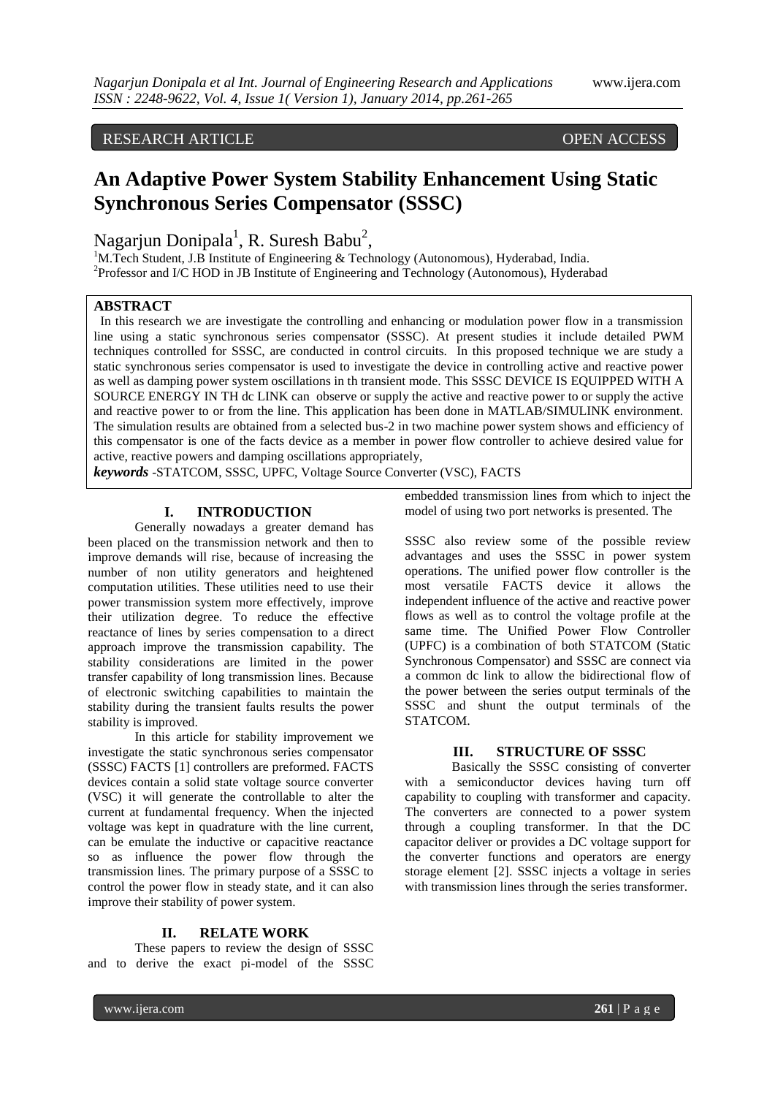# RESEARCH ARTICLE **CONTRACT OPEN ACCESS**

# **An Adaptive Power System Stability Enhancement Using Static Synchronous Series Compensator (SSSC)**

Nagarjun Donipala<sup>1</sup>, R. Suresh Babu<sup>2</sup>,

<sup>1</sup>M.Tech Student, J.B Institute of Engineering & Technology (Autonomous), Hyderabad, India. <sup>2</sup>Professor and I/C HOD in JB Institute of Engineering and Technology (Autonomous), Hyderabad

# **ABSTRACT**

 In this research we are investigate the controlling and enhancing or modulation power flow in a transmission line using a static synchronous series compensator (SSSC). At present studies it include detailed PWM techniques controlled for SSSC, are conducted in control circuits. In this proposed technique we are study a static synchronous series compensator is used to investigate the device in controlling active and reactive power as well as damping power system oscillations in th transient mode. This SSSC DEVICE IS EQUIPPED WITH A SOURCE ENERGY IN TH dc LINK can observe or supply the active and reactive power to or supply the active and reactive power to or from the line. This application has been done in MATLAB/SIMULINK environment. The simulation results are obtained from a selected bus-2 in two machine power system shows and efficiency of this compensator is one of the facts device as a member in power flow controller to achieve desired value for active, reactive powers and damping oscillations appropriately,

*keywords* -STATCOM, SSSC, UPFC, Voltage Source Converter (VSC), FACTS

### **I. INTRODUCTION**

Generally nowadays a greater demand has been placed on the transmission network and then to improve demands will rise, because of increasing the number of non utility generators and heightened computation utilities. These utilities need to use their power transmission system more effectively, improve their utilization degree. To reduce the effective reactance of lines by series compensation to a direct approach improve the transmission capability. The stability considerations are limited in the power transfer capability of long transmission lines. Because of electronic switching capabilities to maintain the stability during the transient faults results the power stability is improved.

In this article for stability improvement we investigate the static synchronous series compensator (SSSC) FACTS [1] controllers are preformed. FACTS devices contain a solid state voltage source converter (VSC) it will generate the controllable to alter the current at fundamental frequency. When the injected voltage was kept in quadrature with the line current, can be emulate the inductive or capacitive reactance so as influence the power flow through the transmission lines. The primary purpose of a SSSC to control the power flow in steady state, and it can also improve their stability of power system.

#### **II. RELATE WORK**

These papers to review the design of SSSC and to derive the exact pi-model of the SSSC embedded transmission lines from which to inject the model of using two port networks is presented. The

SSSC also review some of the possible review advantages and uses the SSSC in power system operations. The unified power flow controller is the most versatile FACTS device it allows the independent influence of the active and reactive power flows as well as to control the voltage profile at the same time. The Unified Power Flow Controller (UPFC) is a combination of both STATCOM (Static Synchronous Compensator) and SSSC are connect via a common dc link to allow the bidirectional flow of the power between the series output terminals of the SSSC and shunt the output terminals of the STATCOM.

#### **III. STRUCTURE OF SSSC**

Basically the SSSC consisting of converter with a semiconductor devices having turn off capability to coupling with transformer and capacity. The converters are connected to a power system through a coupling transformer. In that the DC capacitor deliver or provides a DC voltage support for the converter functions and operators are energy storage element [2]. SSSC injects a voltage in series with transmission lines through the series transformer.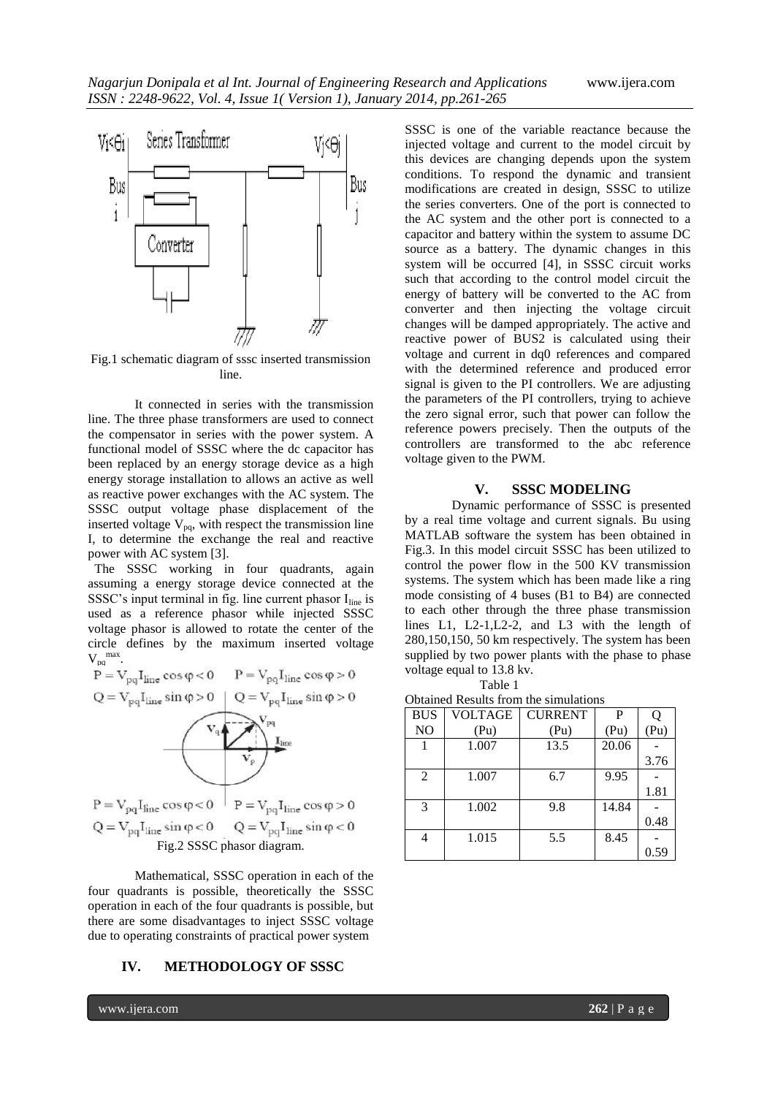

Fig.1 schematic diagram of sssc inserted transmission line.

It connected in series with the transmission line. The three phase transformers are used to connect the compensator in series with the power system. A functional model of SSSC where the dc capacitor has been replaced by an energy storage device as a high energy storage installation to allows an active as well as reactive power exchanges with the AC system. The SSSC output voltage phase displacement of the inserted voltage  $V_{pq}$ , with respect the transmission line I, to determine the exchange the real and reactive power with AC system [3].

 The SSSC working in four quadrants, again assuming a energy storage device connected at the SSSC's input terminal in fig. line current phasor  $I_{line}$  is used as a reference phasor while injected SSSC voltage phasor is allowed to rotate the center of the circle defines by the maximum inserted voltage  $V_{pq}^{\text{max}}$ .



Mathematical, SSSC operation in each of the four quadrants is possible, theoretically the SSSC operation in each of the four quadrants is possible, but there are some disadvantages to inject SSSC voltage due to operating constraints of practical power system

## **IV. METHODOLOGY OF SSSC**

SSSC is one of the variable reactance because the injected voltage and current to the model circuit by this devices are changing depends upon the system conditions. To respond the dynamic and transient modifications are created in design, SSSC to utilize the series converters. One of the port is connected to the AC system and the other port is connected to a capacitor and battery within the system to assume DC source as a battery. The dynamic changes in this system will be occurred [4], in SSSC circuit works such that according to the control model circuit the energy of battery will be converted to the AC from converter and then injecting the voltage circuit changes will be damped appropriately. The active and reactive power of BUS2 is calculated using their voltage and current in dq0 references and compared with the determined reference and produced error signal is given to the PI controllers. We are adjusting the parameters of the PI controllers, trying to achieve the zero signal error, such that power can follow the reference powers precisely. Then the outputs of the controllers are transformed to the abc reference voltage given to the PWM.

#### **V. SSSC MODELING**

Dynamic performance of SSSC is presented by a real time voltage and current signals. Bu using MATLAB software the system has been obtained in Fig.3. In this model circuit SSSC has been utilized to control the power flow in the 500 KV transmission systems. The system which has been made like a ring mode consisting of 4 buses (B1 to B4) are connected to each other through the three phase transmission lines L1, L2-1,L2-2, and L3 with the length of 280,150,150, 50 km respectively. The system has been supplied by two power plants with the phase to phase voltage equal to 13.8 kv. Table 1

Obtained Results from the simulations

| <b>BUS</b>     | <b>VOLTAGE</b> | <b>CURRENT</b> | P     |      |
|----------------|----------------|----------------|-------|------|
| N <sub>O</sub> | (Pu)           | (Pu)           | (Pu)  | (Pu) |
|                | 1.007          | 13.5           | 20.06 |      |
|                |                |                |       | 3.76 |
| $\overline{2}$ | 1.007          | 6.7            | 9.95  |      |
|                |                |                |       | 1.81 |
| 3              | 1.002          | 9.8            | 14.84 |      |
|                |                |                |       | 0.48 |
|                | 1.015          | 5.5            | 8.45  |      |
|                |                |                |       | 0.59 |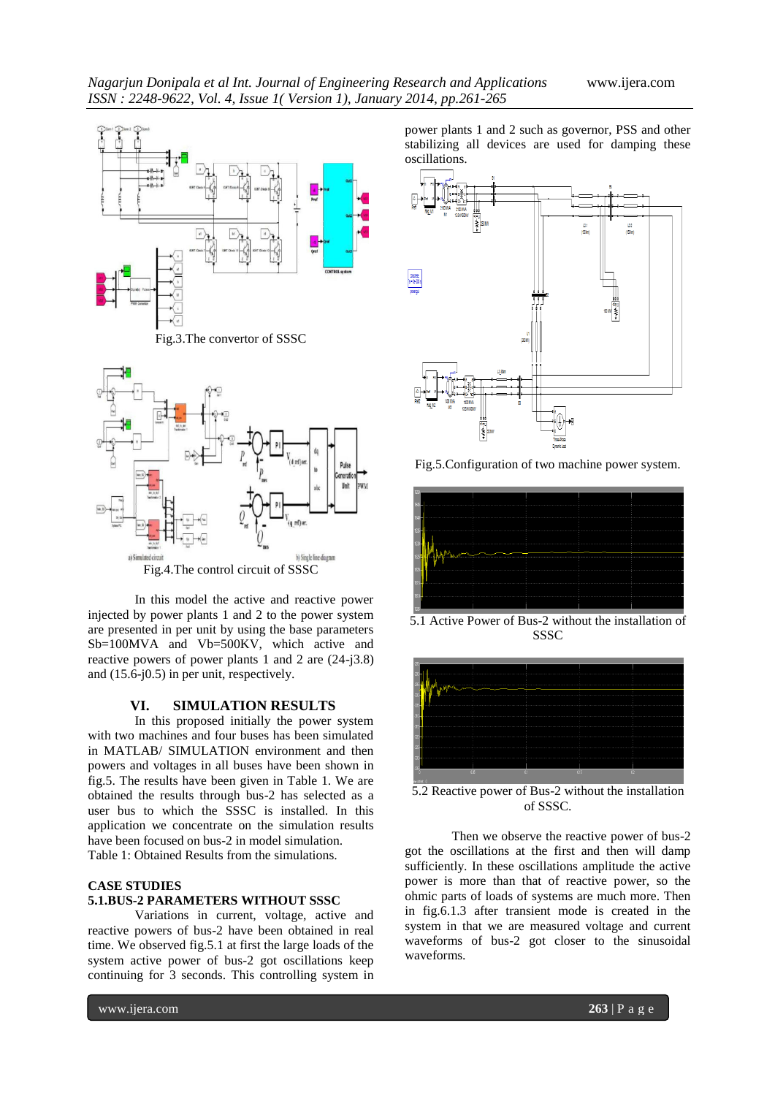



In this model the active and reactive power injected by power plants 1 and 2 to the power system are presented in per unit by using the base parameters Sb=100MVA and Vb=500KV, which active and reactive powers of power plants 1 and 2 are (24-j3.8) and (15.6-j0.5) in per unit, respectively.

#### **VI. SIMULATION RESULTS**

In this proposed initially the power system with two machines and four buses has been simulated in MATLAB/ SIMULATION environment and then powers and voltages in all buses have been shown in fig.5. The results have been given in Table 1. We are obtained the results through bus-2 has selected as a user bus to which the SSSC is installed. In this application we concentrate on the simulation results have been focused on bus-2 in model simulation. Table 1: Obtained Results from the simulations.

# **CASE STUDIES 5.1.BUS-2 PARAMETERS WITHOUT SSSC**

Variations in current, voltage, active and reactive powers of bus-2 have been obtained in real time. We observed fig.5.1 at first the large loads of the system active power of bus-2 got oscillations keep continuing for 3 seconds. This controlling system in

power plants 1 and 2 such as governor, PSS and other stabilizing all devices are used for damping these oscillations.



Fig.5.Configuration of two machine power system.



5.1 Active Power of Bus-2 without the installation of **SSSC** 



5.2 Reactive power of Bus-2 without the installation of SSSC.

Then we observe the reactive power of bus-2 got the oscillations at the first and then will damp sufficiently. In these oscillations amplitude the active power is more than that of reactive power, so the ohmic parts of loads of systems are much more. Then in fig.6.1.3 after transient mode is created in the system in that we are measured voltage and current waveforms of bus-2 got closer to the sinusoidal waveforms.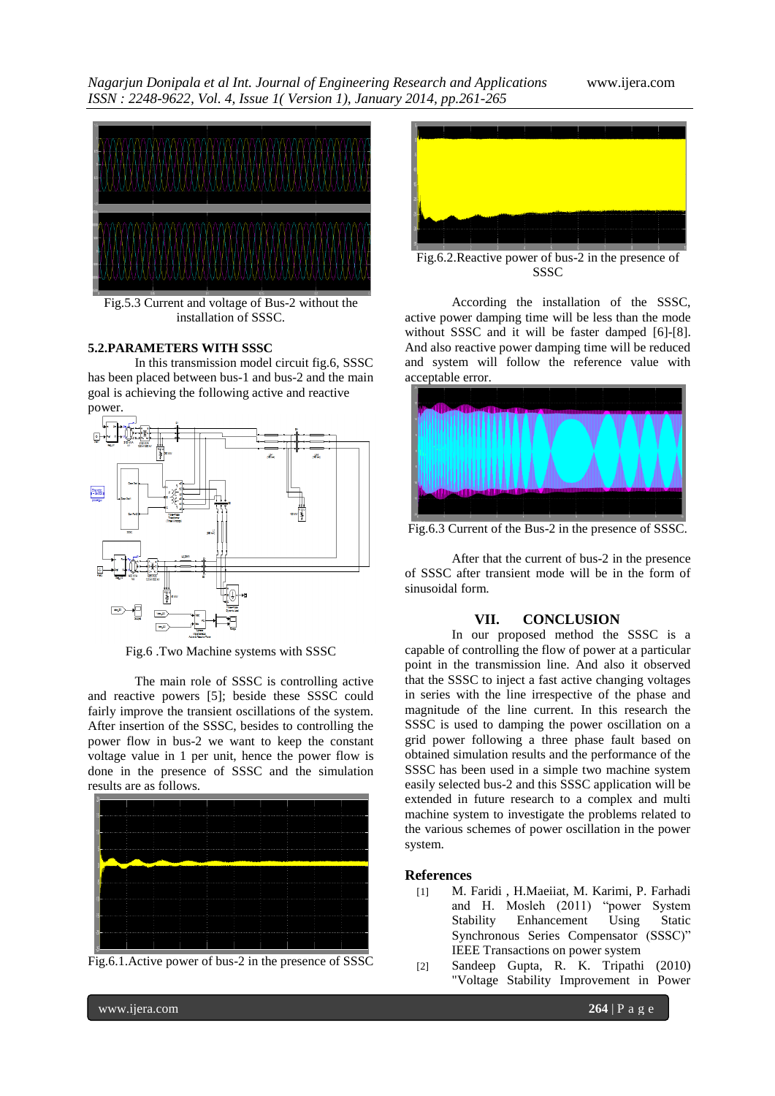*Nagarjun Donipala et al Int. Journal of Engineering Research and Applications* www.ijera.com *ISSN : 2248-9622, Vol. 4, Issue 1( Version 1), January 2014, pp.261-265*



Fig.5.3 Current and voltage of Bus-2 without the installation of SSSC.

# **5.2.PARAMETERS WITH SSSC**

In this transmission model circuit fig.6, SSSC has been placed between bus-1 and bus-2 and the main goal is achieving the following active and reactive power.



Fig.6 .Two Machine systems with SSSC

The main role of SSSC is controlling active and reactive powers [5]; beside these SSSC could fairly improve the transient oscillations of the system. After insertion of the SSSC, besides to controlling the power flow in bus-2 we want to keep the constant voltage value in 1 per unit, hence the power flow is done in the presence of SSSC and the simulation results are as follows.







Fig.6.2.Reactive power of bus-2 in the presence of SSSC

According the installation of the SSSC, active power damping time will be less than the mode without SSSC and it will be faster damped [6]-[8]. And also reactive power damping time will be reduced and system will follow the reference value with acceptable error.



Fig.6.3 Current of the Bus-2 in the presence of SSSC.

After that the current of bus-2 in the presence of SSSC after transient mode will be in the form of sinusoidal form.

## **VII. CONCLUSION**

In our proposed method the SSSC is a capable of controlling the flow of power at a particular point in the transmission line. And also it observed that the SSSC to inject a fast active changing voltages in series with the line irrespective of the phase and magnitude of the line current. In this research the SSSC is used to damping the power oscillation on a grid power following a three phase fault based on obtained simulation results and the performance of the SSSC has been used in a simple two machine system easily selected bus-2 and this SSSC application will be extended in future research to a complex and multi machine system to investigate the problems related to the various schemes of power oscillation in the power system.

### **References**

- [1] M. Faridi , H.Maeiiat, M. Karimi, P. Farhadi and H. Mosleh (2011) "power System Stability Enhancement Using Static Synchronous Series Compensator (SSSC)" IEEE Transactions on power system
- [2] Sandeep Gupta, R. K. Tripathi (2010) "Voltage Stability Improvement in Power